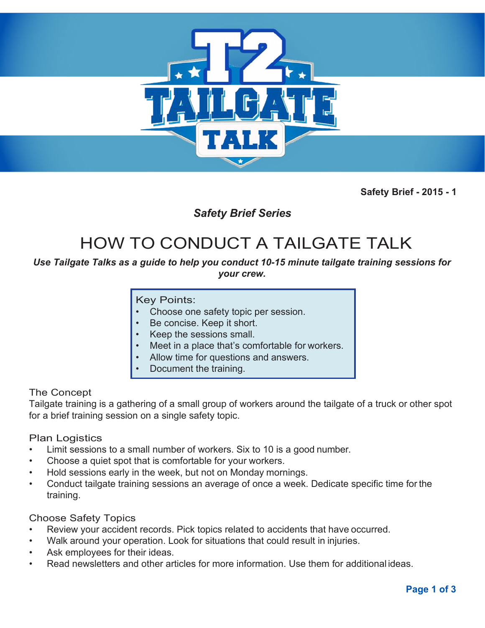

**Safety Brief - 2015 - 1**

# *Safety Brief Series*

# HOW TO CONDUCT A TAILGATE TALK

*Use Tailgate Talks as a guide to help you conduct 10-15 minute tailgate training sessions for your crew.*

#### Key Points:

- Choose one safety topic per session.
- Be concise. Keep it short.
- Keep the sessions small.
- Meet in a place that's comfortable for workers.
- Allow time for questions and answers.
- Document the training.

#### The Concept

Tailgate training is a gathering of a small group of workers around the tailgate of a truck or other spot for a brief training session on a single safety topic.

# Plan Logistics

- Limit sessions to a small number of workers. Six to 10 is a good number.
- Choose a quiet spot that is comfortable for your workers.
- Hold sessions early in the week, but not on Monday mornings.
- Conduct tailgate training sessions an average of once a week. Dedicate specific time for the training.

# Choose Safety Topics

- Review your accident records. Pick topics related to accidents that have occurred.
- Walk around your operation. Look for situations that could result in injuries.
- Ask employees for their ideas.
- Read newsletters and other articles for more information. Use them for additional ideas.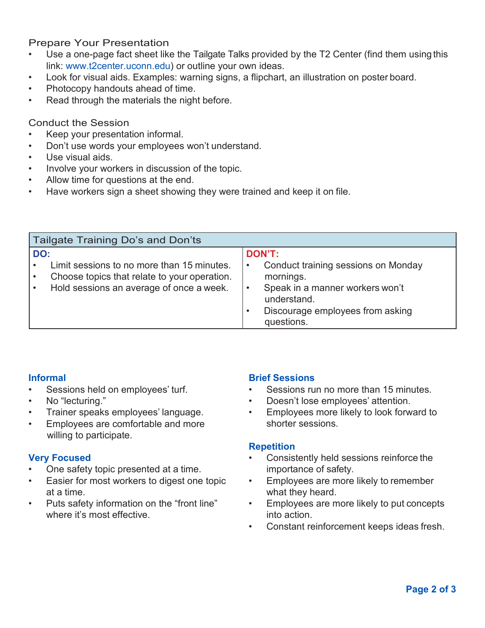# Prepare Your Presentation

- Use a one-page fact sheet like the Tailgate Talks provided by the T2 Center (find them using this link: www.t2center.uconn.edu) or outline your own ideas.
- Look for visual aids. Examples: warning signs, a flipchart, an illustration on poster board.
- Photocopy handouts ahead of time.
- Read through the materials the night before.

#### Conduct the Session

- Keep your presentation informal.
- Don't use words your employees won't understand.
- Use visual aids.
- Involve your workers in discussion of the topic.
- Allow time for questions at the end.
- Have workers sign a sheet showing they were trained and keep it on file.

| Tailgate Training Do's and Don'ts                                                                                                      |                                                                                                                                                                   |
|----------------------------------------------------------------------------------------------------------------------------------------|-------------------------------------------------------------------------------------------------------------------------------------------------------------------|
| DO:                                                                                                                                    | <b>DON'T:</b>                                                                                                                                                     |
| Limit sessions to no more than 15 minutes.<br>Choose topics that relate to your operation.<br>Hold sessions an average of once a week. | Conduct training sessions on Monday<br>mornings.<br>Speak in a manner workers won't<br>$\bullet$<br>understand.<br>Discourage employees from asking<br>questions. |

#### **Informal**

- Sessions held on employees' turf.
- No "lecturing."
- Trainer speaks employees' language.
- Employees are comfortable and more willing to participate.

#### **Very Focused**

- One safety topic presented at a time.
- Easier for most workers to digest one topic at a time.
- Puts safety information on the "front line" where it's most effective.

#### **Brief Sessions**

- Sessions run no more than 15 minutes.
- Doesn't lose employees' attention.
- Employees more likely to look forward to shorter sessions.

#### **Repetition**

- Consistently held sessions reinforce the importance of safety.
- Employees are more likely to remember what they heard.
- Employees are more likely to put concepts into action.
- Constant reinforcement keeps ideas fresh.